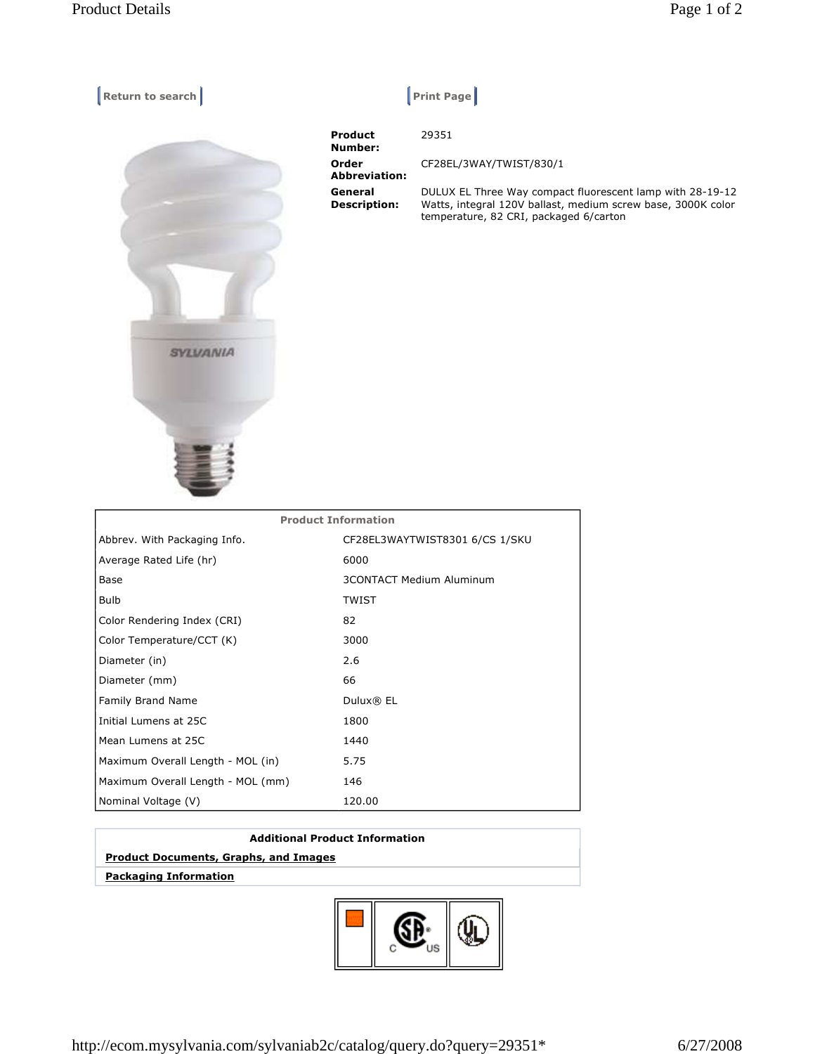| Return to search | $ $ Print Page                 |                                          |
|------------------|--------------------------------|------------------------------------------|
|                  | <b>Product</b><br>Number:      | 29351                                    |
|                  | Order<br><b>Abbreviation:</b>  | CF28EL/3W                                |
|                  | General<br><b>Description:</b> | DULUX EL T<br>Watts, integ<br>temperatur |
|                  |                                |                                          |
|                  |                                |                                          |
| SYLVANIA         |                                |                                          |
|                  |                                |                                          |
|                  |                                |                                          |

| Product<br>Number:             | 29351                                                                                                                                                               |
|--------------------------------|---------------------------------------------------------------------------------------------------------------------------------------------------------------------|
| Order<br><b>Abbreviation:</b>  | CF28EL/3WAY/TWIST/830/1                                                                                                                                             |
| General<br><b>Description:</b> | DULUX EL Three Way compact fluorescent lamp with 28-19-12<br>Watts, integral 120V ballast, medium screw base, 3000K color<br>temperature, 82 CRI, packaged 6/carton |

| <b>Product Information</b>        |                                 |  |
|-----------------------------------|---------------------------------|--|
| Abbrev. With Packaging Info.      | CF28EL3WAYTWIST8301 6/CS 1/SKU  |  |
| Average Rated Life (hr)           | 6000                            |  |
| Base                              | <b>3CONTACT Medium Aluminum</b> |  |
| <b>Bulb</b>                       | <b>TWIST</b>                    |  |
| Color Rendering Index (CRI)       | 82                              |  |
| Color Temperature/CCT (K)         | 3000                            |  |
| Diameter (in)                     | 2.6                             |  |
| Diameter (mm)                     | 66                              |  |
| <b>Family Brand Name</b>          | Dulux® EL                       |  |
| Initial Lumens at 25C             | 1800                            |  |
| Mean Lumens at 25C                | 1440                            |  |
| Maximum Overall Length - MOL (in) | 5.75                            |  |
| Maximum Overall Length - MOL (mm) | 146                             |  |
| Nominal Voltage (V)               | 120.00                          |  |

## **Additional Product Information**

## **Product Documents, Graphs, and Images**

 **Packaging Information**